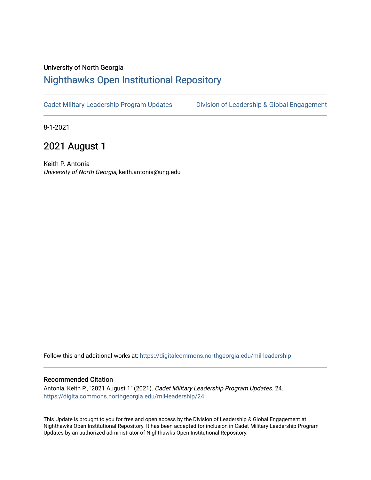## University of North Georgia

## [Nighthawks Open Institutional Repository](https://digitalcommons.northgeorgia.edu/)

[Cadet Military Leadership Program Updates](https://digitalcommons.northgeorgia.edu/mil-leadership) [Division of Leadership & Global Engagement](https://digitalcommons.northgeorgia.edu/leadership) 

8-1-2021

## 2021 August 1

Keith P. Antonia University of North Georgia, keith.antonia@ung.edu

Follow this and additional works at: [https://digitalcommons.northgeorgia.edu/mil-leadership](https://digitalcommons.northgeorgia.edu/mil-leadership?utm_source=digitalcommons.northgeorgia.edu%2Fmil-leadership%2F24&utm_medium=PDF&utm_campaign=PDFCoverPages) 

## Recommended Citation

Antonia, Keith P., "2021 August 1" (2021). Cadet Military Leadership Program Updates. 24. [https://digitalcommons.northgeorgia.edu/mil-leadership/24](https://digitalcommons.northgeorgia.edu/mil-leadership/24?utm_source=digitalcommons.northgeorgia.edu%2Fmil-leadership%2F24&utm_medium=PDF&utm_campaign=PDFCoverPages)

This Update is brought to you for free and open access by the Division of Leadership & Global Engagement at Nighthawks Open Institutional Repository. It has been accepted for inclusion in Cadet Military Leadership Program Updates by an authorized administrator of Nighthawks Open Institutional Repository.